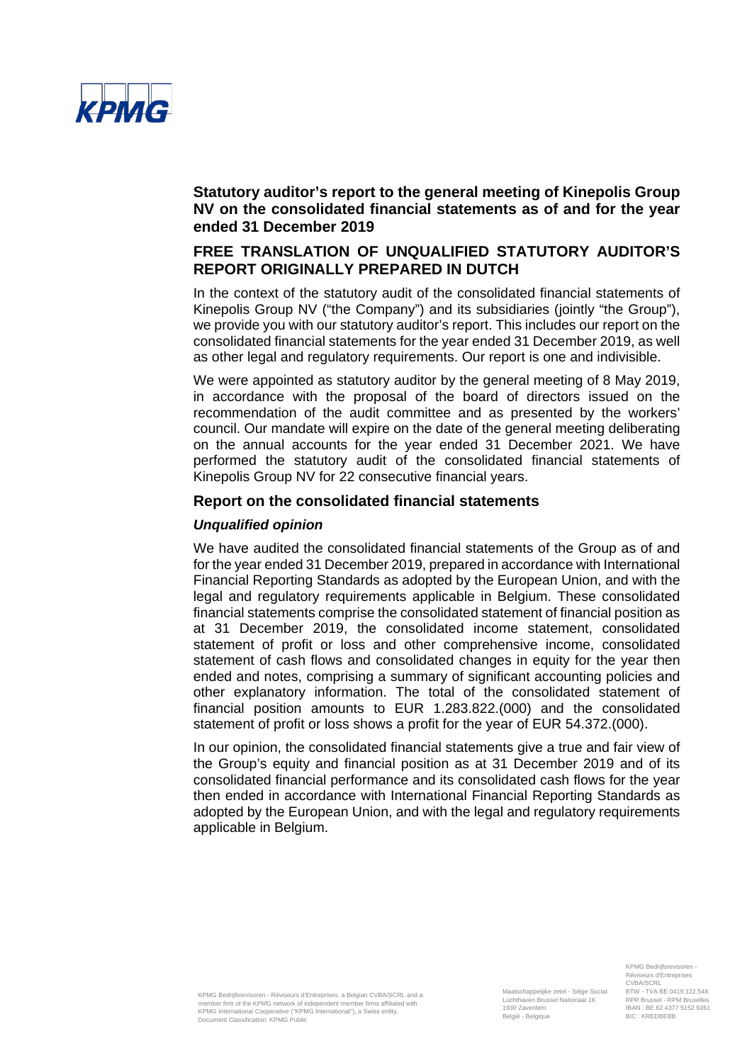

# **FREE TRANSLATION OF UNQUALIFIED STATUTORY AUDITOR'S REPORT ORIGINALLY PREPARED IN DUTCH**

In the context of the statutory audit of the consolidated financial statements of Kinepolis Group NV ("the Company") and its subsidiaries (jointly "the Group"), we provide you with our statutory auditor's report. This includes our report on the consolidated financial statements for the year ended 31 December 2019, as well as other legal and regulatory requirements. Our report is one and indivisible.

We were appointed as statutory auditor by the general meeting of 8 May 2019. in accordance with the proposal of the board of directors issued on the recommendation of the audit committee and as presented by the workers' council. Our mandate will expire on the date of the general meeting deliberating on the annual accounts for the year ended 31 December 2021. We have performed the statutory audit of the consolidated financial statements of Kinepolis Group NV for 22 consecutive financial years.

## **Report on the consolidated financial statements**

## *Unqualified opinion*

We have audited the consolidated financial statements of the Group as of and for the year ended 31 December 2019, prepared in accordance with International Financial Reporting Standards as adopted by the European Union, and with the legal and regulatory requirements applicable in Belgium. These consolidated financial statements comprise the consolidated statement of financial position as at 31 December 2019, the consolidated income statement, consolidated statement of profit or loss and other comprehensive income, consolidated statement of cash flows and consolidated changes in equity for the year then ended and notes, comprising a summary of significant accounting policies and other explanatory information. The total of the consolidated statement of financial position amounts to EUR 1.283.822.(000) and the consolidated statement of profit or loss shows a profit for the year of EUR 54.372.(000).

In our opinion, the consolidated financial statements give a true and fair view of the Group's equity and financial position as at 31 December 2019 and of its consolidated financial performance and its consolidated cash flows for the year then ended in accordance with International Financial Reporting Standards as adopted by the European Union, and with the legal and regulatory requirements applicable in Belgium.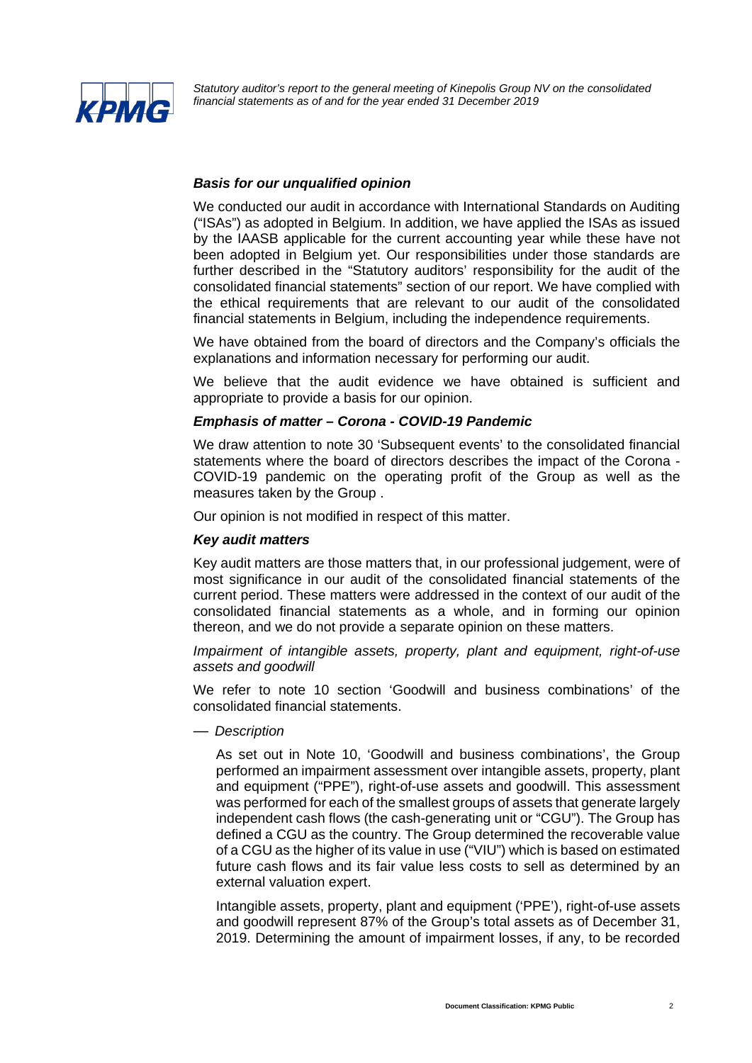

## *Basis for our unqualified opinion*

We conducted our audit in accordance with International Standards on Auditing ("ISAs") as adopted in Belgium. In addition, we have applied the ISAs as issued by the IAASB applicable for the current accounting year while these have not been adopted in Belgium yet. Our responsibilities under those standards are further described in the "Statutory auditors' responsibility for the audit of the consolidated financial statements" section of our report. We have complied with the ethical requirements that are relevant to our audit of the consolidated financial statements in Belgium, including the independence requirements.

We have obtained from the board of directors and the Company's officials the explanations and information necessary for performing our audit.

We believe that the audit evidence we have obtained is sufficient and appropriate to provide a basis for our opinion.

## *Emphasis of matter – Corona - COVID-19 Pandemic*

We draw attention to note 30 'Subsequent events' to the consolidated financial statements where the board of directors describes the impact of the Corona - COVID-19 pandemic on the operating profit of the Group as well as the measures taken by the Group .

Our opinion is not modified in respect of this matter.

#### *Key audit matters*

Key audit matters are those matters that, in our professional judgement, were of most significance in our audit of the consolidated financial statements of the current period. These matters were addressed in the context of our audit of the consolidated financial statements as a whole, and in forming our opinion thereon, and we do not provide a separate opinion on these matters.

*Impairment of intangible assets, property, plant and equipment, right-of-use assets and goodwill*

We refer to note 10 section 'Goodwill and business combinations' of the consolidated financial statements.

— *Description*

As set out in Note 10, 'Goodwill and business combinations', the Group performed an impairment assessment over intangible assets, property, plant and equipment ("PPE"), right-of-use assets and goodwill. This assessment was performed for each of the smallest groups of assets that generate largely independent cash flows (the cash-generating unit or "CGU"). The Group has defined a CGU as the country. The Group determined the recoverable value of a CGU as the higher of its value in use ("VIU") which is based on estimated future cash flows and its fair value less costs to sell as determined by an external valuation expert.

Intangible assets, property, plant and equipment ('PPE'), right-of-use assets and goodwill represent 87% of the Group's total assets as of December 31, 2019. Determining the amount of impairment losses, if any, to be recorded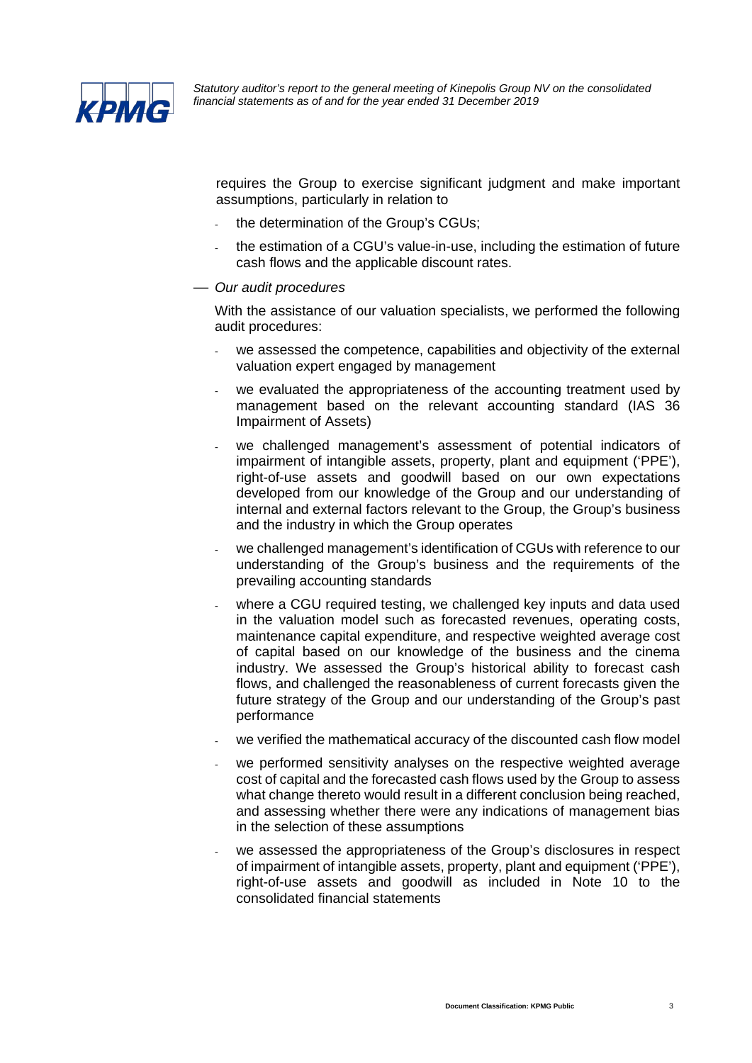

requires the Group to exercise significant judgment and make important assumptions, particularly in relation to

- the determination of the Group's CGUs;
- the estimation of a CGU's value-in-use, including the estimation of future cash flows and the applicable discount rates.
- *Our audit procedures*

With the assistance of our valuation specialists, we performed the following audit procedures:

- we assessed the competence, capabilities and objectivity of the external valuation expert engaged by management
- we evaluated the appropriateness of the accounting treatment used by management based on the relevant accounting standard (IAS 36 Impairment of Assets)
- we challenged management's assessment of potential indicators of impairment of intangible assets, property, plant and equipment ('PPE'), right-of-use assets and goodwill based on our own expectations developed from our knowledge of the Group and our understanding of internal and external factors relevant to the Group, the Group's business and the industry in which the Group operates
- we challenged management's identification of CGUs with reference to our understanding of the Group's business and the requirements of the prevailing accounting standards
- where a CGU required testing, we challenged key inputs and data used in the valuation model such as forecasted revenues, operating costs, maintenance capital expenditure, and respective weighted average cost of capital based on our knowledge of the business and the cinema industry. We assessed the Group's historical ability to forecast cash flows, and challenged the reasonableness of current forecasts given the future strategy of the Group and our understanding of the Group's past performance
- we verified the mathematical accuracy of the discounted cash flow model
- we performed sensitivity analyses on the respective weighted average cost of capital and the forecasted cash flows used by the Group to assess what change thereto would result in a different conclusion being reached, and assessing whether there were any indications of management bias in the selection of these assumptions
- we assessed the appropriateness of the Group's disclosures in respect of impairment of intangible assets, property, plant and equipment ('PPE'), right-of-use assets and goodwill as included in Note 10 to the consolidated financial statements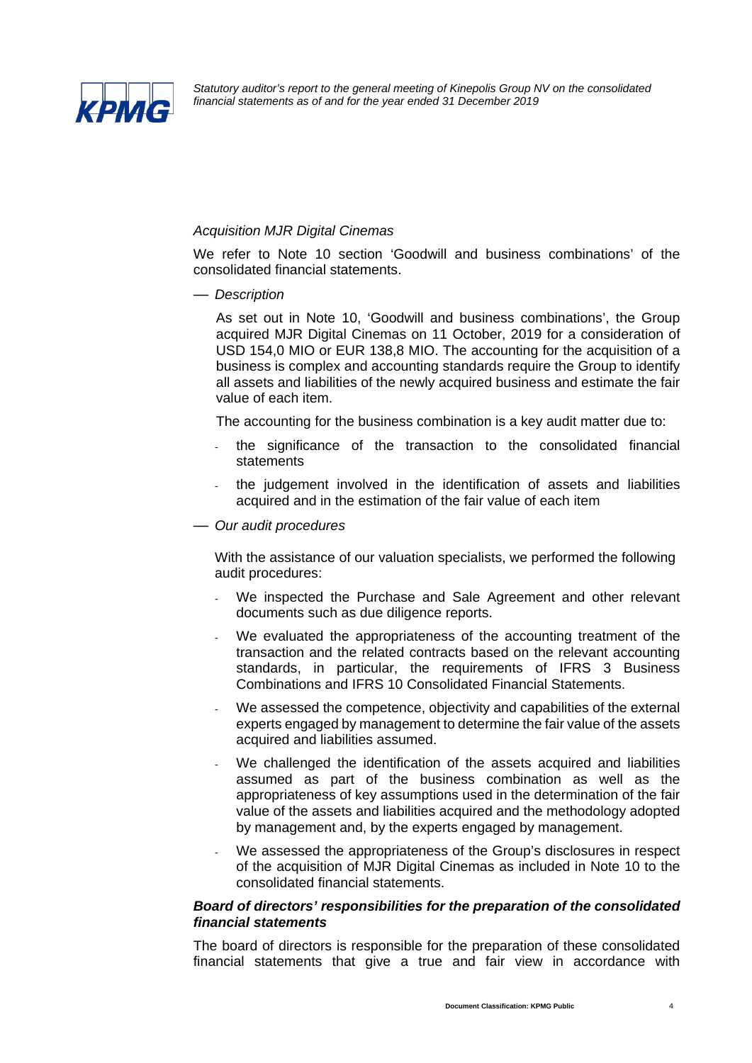

# *Acquisition MJR Digital Cinemas*

We refer to Note 10 section 'Goodwill and business combinations' of the consolidated financial statements.

— *Description*

As set out in Note 10, 'Goodwill and business combinations', the Group acquired MJR Digital Cinemas on 11 October, 2019 for a consideration of USD 154,0 MIO or EUR 138,8 MIO. The accounting for the acquisition of a business is complex and accounting standards require the Group to identify all assets and liabilities of the newly acquired business and estimate the fair value of each item.

The accounting for the business combination is a key audit matter due to:

- the significance of the transaction to the consolidated financial statements
- the judgement involved in the identification of assets and liabilities acquired and in the estimation of the fair value of each item
- *Our audit procedures*

With the assistance of our valuation specialists, we performed the following audit procedures:

- We inspected the Purchase and Sale Agreement and other relevant documents such as due diligence reports.
- We evaluated the appropriateness of the accounting treatment of the transaction and the related contracts based on the relevant accounting standards, in particular, the requirements of IFRS 3 Business Combinations and IFRS 10 Consolidated Financial Statements.
- We assessed the competence, objectivity and capabilities of the external experts engaged by management to determine the fair value of the assets acquired and liabilities assumed.
- We challenged the identification of the assets acquired and liabilities assumed as part of the business combination as well as the appropriateness of key assumptions used in the determination of the fair value of the assets and liabilities acquired and the methodology adopted by management and, by the experts engaged by management.
- We assessed the appropriateness of the Group's disclosures in respect of the acquisition of MJR Digital Cinemas as included in Note 10 to the consolidated financial statements.

#### *Board of directors' responsibilities for the preparation of the consolidated financial statements*

The board of directors is responsible for the preparation of these consolidated financial statements that give a true and fair view in accordance with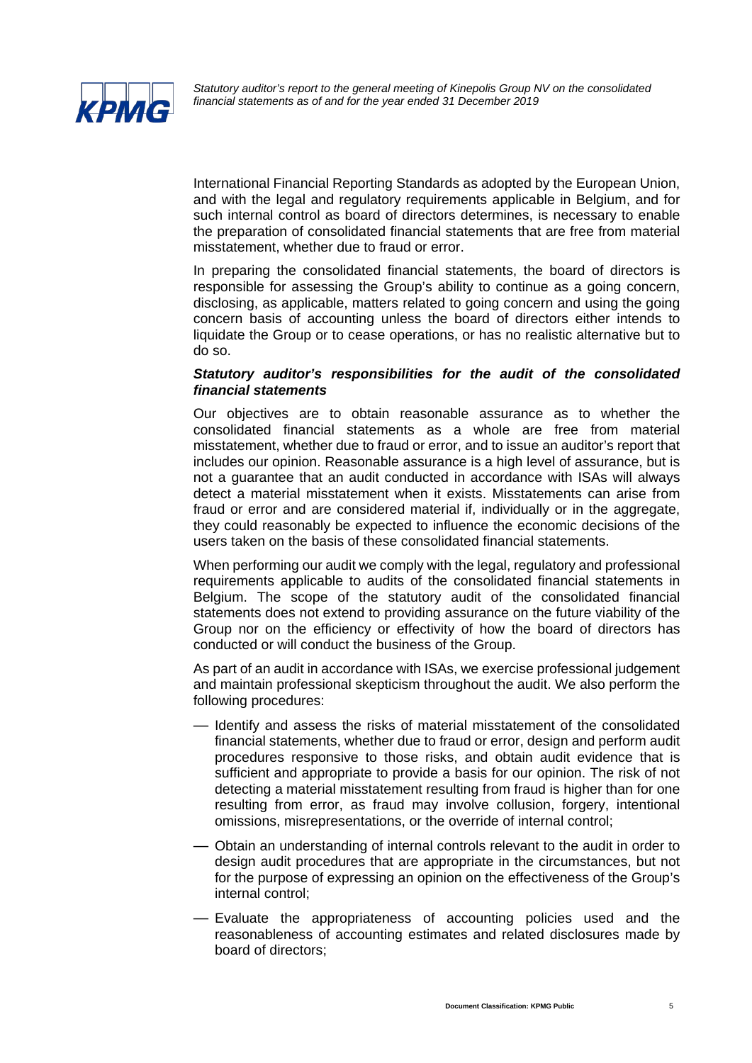

International Financial Reporting Standards as adopted by the European Union, and with the legal and regulatory requirements applicable in Belgium, and for such internal control as board of directors determines, is necessary to enable the preparation of consolidated financial statements that are free from material misstatement, whether due to fraud or error.

In preparing the consolidated financial statements, the board of directors is responsible for assessing the Group's ability to continue as a going concern, disclosing, as applicable, matters related to going concern and using the going concern basis of accounting unless the board of directors either intends to liquidate the Group or to cease operations, or has no realistic alternative but to do so.

#### *Statutory auditor's responsibilities for the audit of the consolidated financial statements*

Our objectives are to obtain reasonable assurance as to whether the consolidated financial statements as a whole are free from material misstatement, whether due to fraud or error, and to issue an auditor's report that includes our opinion. Reasonable assurance is a high level of assurance, but is not a guarantee that an audit conducted in accordance with ISAs will always detect a material misstatement when it exists. Misstatements can arise from fraud or error and are considered material if, individually or in the aggregate, they could reasonably be expected to influence the economic decisions of the users taken on the basis of these consolidated financial statements.

When performing our audit we comply with the legal, regulatory and professional requirements applicable to audits of the consolidated financial statements in Belgium. The scope of the statutory audit of the consolidated financial statements does not extend to providing assurance on the future viability of the Group nor on the efficiency or effectivity of how the board of directors has conducted or will conduct the business of the Group.

As part of an audit in accordance with ISAs, we exercise professional judgement and maintain professional skepticism throughout the audit. We also perform the following procedures:

- Identify and assess the risks of material misstatement of the consolidated financial statements, whether due to fraud or error, design and perform audit procedures responsive to those risks, and obtain audit evidence that is sufficient and appropriate to provide a basis for our opinion. The risk of not detecting a material misstatement resulting from fraud is higher than for one resulting from error, as fraud may involve collusion, forgery, intentional omissions, misrepresentations, or the override of internal control;
- Obtain an understanding of internal controls relevant to the audit in order to design audit procedures that are appropriate in the circumstances, but not for the purpose of expressing an opinion on the effectiveness of the Group's internal control;
- Evaluate the appropriateness of accounting policies used and the reasonableness of accounting estimates and related disclosures made by board of directors;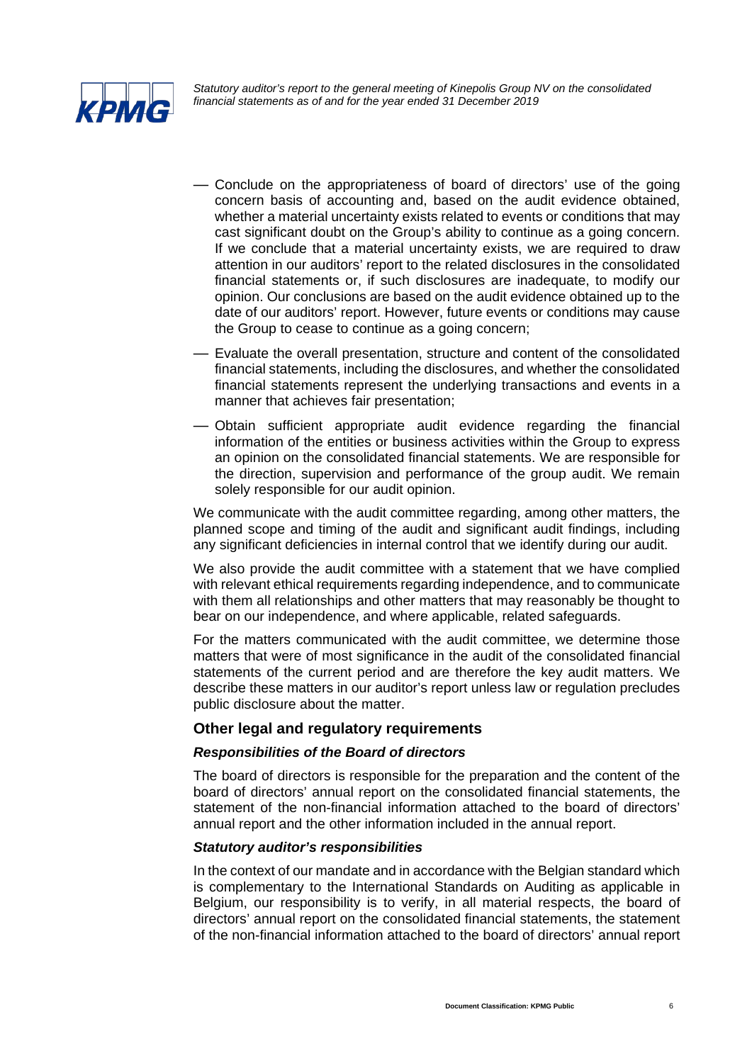

- Conclude on the appropriateness of board of directors' use of the going concern basis of accounting and, based on the audit evidence obtained, whether a material uncertainty exists related to events or conditions that may cast significant doubt on the Group's ability to continue as a going concern. If we conclude that a material uncertainty exists, we are required to draw attention in our auditors' report to the related disclosures in the consolidated financial statements or, if such disclosures are inadequate, to modify our opinion. Our conclusions are based on the audit evidence obtained up to the date of our auditors' report. However, future events or conditions may cause the Group to cease to continue as a going concern;
- Evaluate the overall presentation, structure and content of the consolidated financial statements, including the disclosures, and whether the consolidated financial statements represent the underlying transactions and events in a manner that achieves fair presentation;
- Obtain sufficient appropriate audit evidence regarding the financial information of the entities or business activities within the Group to express an opinion on the consolidated financial statements. We are responsible for the direction, supervision and performance of the group audit. We remain solely responsible for our audit opinion.

We communicate with the audit committee regarding, among other matters, the planned scope and timing of the audit and significant audit findings, including any significant deficiencies in internal control that we identify during our audit.

We also provide the audit committee with a statement that we have complied with relevant ethical requirements regarding independence, and to communicate with them all relationships and other matters that may reasonably be thought to bear on our independence, and where applicable, related safeguards.

For the matters communicated with the audit committee, we determine those matters that were of most significance in the audit of the consolidated financial statements of the current period and are therefore the key audit matters. We describe these matters in our auditor's report unless law or regulation precludes public disclosure about the matter.

## **Other legal and regulatory requirements**

## *Responsibilities of the Board of directors*

The board of directors is responsible for the preparation and the content of the board of directors' annual report on the consolidated financial statements, the statement of the non-financial information attached to the board of directors' annual report and the other information included in the annual report.

## *Statutory auditor's responsibilities*

In the context of our mandate and in accordance with the Belgian standard which is complementary to the International Standards on Auditing as applicable in Belgium, our responsibility is to verify, in all material respects, the board of directors' annual report on the consolidated financial statements, the statement of the non-financial information attached to the board of directors' annual report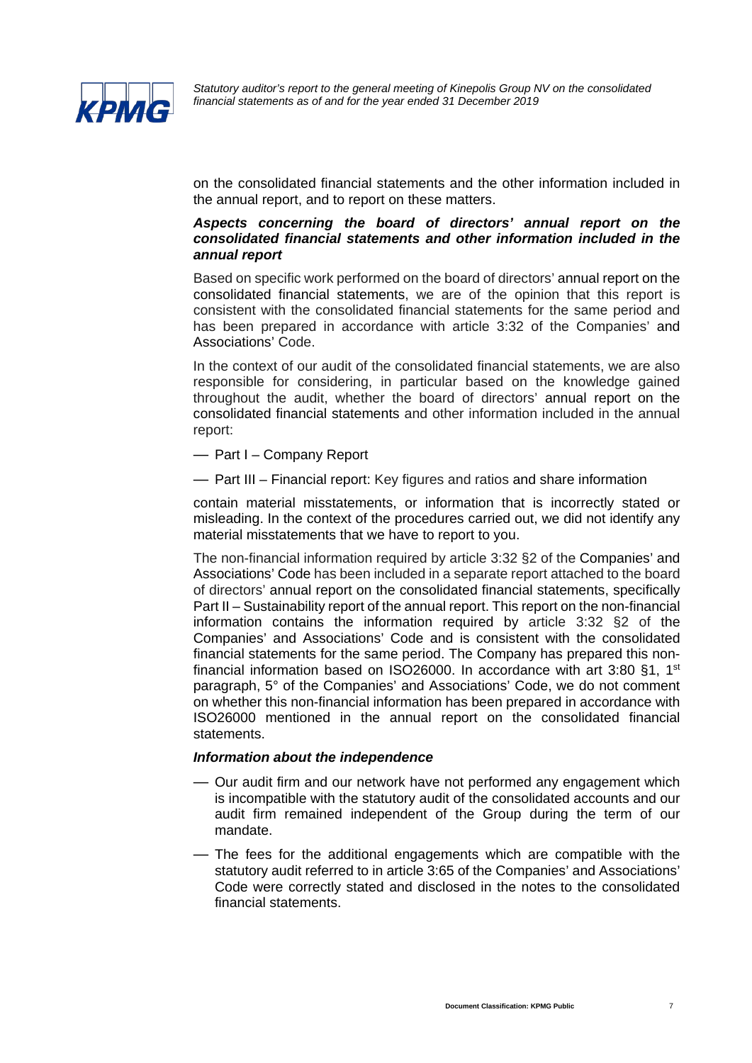

on the consolidated financial statements and the other information included in the annual report, and to report on these matters.

### *Aspects concerning the board of directors' annual report on the consolidated financial statements and other information included in the annual report*

Based on specific work performed on the board of directors' annual report on the consolidated financial statements, we are of the opinion that this report is consistent with the consolidated financial statements for the same period and has been prepared in accordance with article 3:32 of the Companies' and Associations' Code.

In the context of our audit of the consolidated financial statements, we are also responsible for considering, in particular based on the knowledge gained throughout the audit, whether the board of directors' annual report on the consolidated financial statements and other information included in the annual report:

- Part I Company Report
- Part III Financial report: Key figures and ratios and share information

contain material misstatements, or information that is incorrectly stated or misleading. In the context of the procedures carried out, we did not identify any material misstatements that we have to report to you.

The non-financial information required by article 3:32 §2 of the Companies' and Associations' Code has been included in a separate report attached to the board of directors' annual report on the consolidated financial statements, specifically Part II – Sustainability report of the annual report. This report on the non-financial information contains the information required by article 3:32 §2 of the Companies' and Associations' Code and is consistent with the consolidated financial statements for the same period. The Company has prepared this nonfinancial information based on ISO26000. In accordance with art  $3:80\,$  §1, 1<sup>st</sup> paragraph, 5° of the Companies' and Associations' Code, we do not comment on whether this non-financial information has been prepared in accordance with ISO26000 mentioned in the annual report on the consolidated financial statements.

#### *Information about the independence*

- Our audit firm and our network have not performed any engagement which is incompatible with the statutory audit of the consolidated accounts and our audit firm remained independent of the Group during the term of our mandate.
- The fees for the additional engagements which are compatible with the statutory audit referred to in article 3:65 of the Companies' and Associations' Code were correctly stated and disclosed in the notes to the consolidated financial statements.